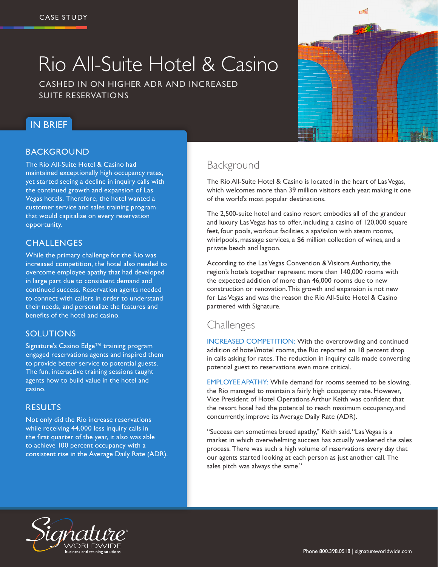# Rio All-Suite Hotel & Casino

CASHED IN ON HIGHER ADR AND INCREASED SUITE RESERVATIONS

# IN BRIEF

### **BACKGROUND**

The Rio All-Suite Hotel & Casino had maintained exceptionally high occupancy rates, yet started seeing a decline in inquiry calls with the continued growth and expansion of Las Vegas hotels. Therefore, the hotel wanted a customer service and sales training program that would capitalize on every reservation opportunity.

### **CHALLENGES**

While the primary challenge for the Rio was increased competition, the hotel also needed to overcome employee apathy that had developed in large part due to consistent demand and continued success. Reservation agents needed to connect with callers in order to understand their needs, and personalize the features and benefits of the hotel and casino.

### SOLUTIONS

Signature's Casino Edge™ training program engaged reservations agents and inspired them to provide better service to potential guests. The fun, interactive training sessions taught agents how to build value in the hotel and casino.

### RESULTS

Not only did the Rio increase reservations while receiving 44,000 less inquiry calls in the first quarter of the year, it also was able to achieve 100 percent occupancy with a consistent rise in the Average Daily Rate (ADR).

# Background

The Rio All-Suite Hotel & Casino is located in the heart of Las Vegas, which welcomes more than 39 million visitors each year, making it one of the world's most popular destinations.

The 2,500-suite hotel and casino resort embodies all of the grandeur and luxury Las Vegas has to offer, including a casino of 120,000 square feet, four pools, workout facilities, a spa/salon with steam rooms, whirlpools, massage services, a \$6 million collection of wines, and a private beach and lagoon.

According to the Las Vegas Convention & Visitors Authority, the region's hotels together represent more than 140,000 rooms with the expected addition of more than 46,000 rooms due to new construction or renovation. This growth and expansion is not new for Las Vegas and was the reason the Rio All-Suite Hotel & Casino partnered with Signature.

## **Challenges**

INCREASED COMPETITION: With the overcrowding and continued addition of hotel/motel rooms, the Rio reported an 18 percent drop in calls asking for rates. The reduction in inquiry calls made converting potential guest to reservations even more critical.

EMPLOYEE APATHY: While demand for rooms seemed to be slowing, the Rio managed to maintain a fairly high occupancy rate. However, Vice President of Hotel Operations Arthur Keith was confident that the resort hotel had the potential to reach maximum occupancy, and concurrently, improve its Average Daily Rate (ADR).

"Success can sometimes breed apathy," Keith said. "Las Vegas is a market in which overwhelming success has actually weakened the sales process. There was such a high volume of reservations every day that our agents started looking at each person as just another call. The sales pitch was always the same."